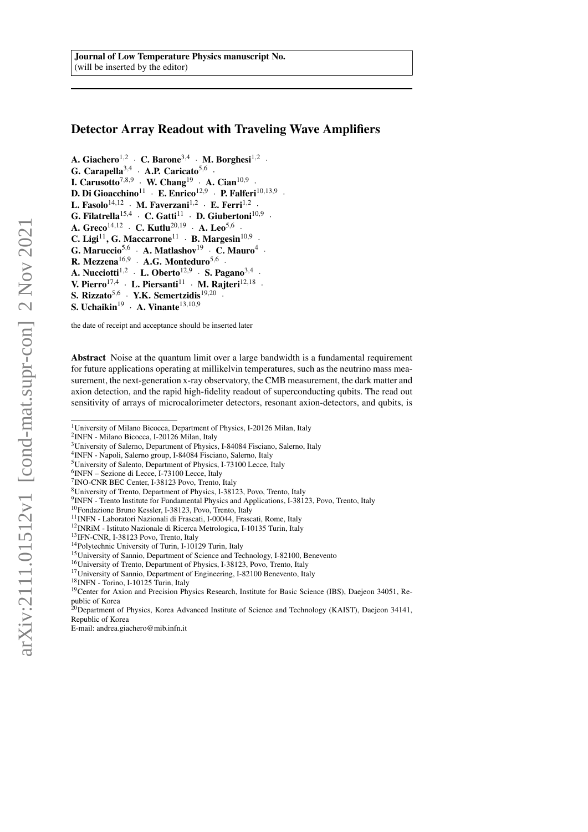# Detector Array Readout with Traveling Wave Amplifiers

- A. Giachero<sup>1,2</sup> · C. Barone<sup>3,4</sup> · M. Borghesi<sup>1,2</sup> ·
- G. Carapella<sup>3,4</sup> · A.P. Caricato<sup>5,6</sup> ·
- I. Carusotto<sup>7,8,9</sup> · W. Chang<sup>19</sup> · A. Cian<sup>10,9</sup> ·
- D. Di Gioacchino<sup>11</sup> · E. Enrico<sup>12,9</sup> · P. Falferi<sup>10,13,9</sup> ·
- L. Fasolo<sup>14,12</sup> · M. Faverzani<sup>1,2</sup> · E. Ferri<sup>1,2</sup> ·
- G. Filatrella<sup>15,4</sup> · C. Gatti<sup>11</sup> · D. Giubertoni<sup>10,9</sup> ·
- A. Greco $^{14,12}$  · C. Kutlu<sup>20,19</sup> · A. Leo<sup>5,6</sup> ·
- C. Ligi<sup>11</sup>, G. Maccarrone<sup>11</sup> · B. Margesin<sup>10,9</sup> ·
- G. Maruccio<sup>5,6</sup> · A. Matlashov<sup>19</sup> · C. Mauro<sup>4</sup> ·
- R. Mezzena<sup>16,9</sup> · A.G. Monteduro<sup>5,6</sup> ·
- A. Nucciotti<sup>1,2</sup> · L. Oberto<sup>12,9</sup> · S. Pagano<sup>3,4</sup> ·
- V. Pierro<sup>17,4</sup> · L. Piersanti<sup>11</sup> · M. Rajteri<sup>12,18</sup> ·
- S. Rizzato<sup>5,6</sup> · Y.K. Semertzidis<sup>19,20</sup> ·
- 
- S. Uchaikin<sup>19</sup> · A. Vinante<sup>13,10,9</sup>

the date of receipt and acceptance should be inserted later

Abstract Noise at the quantum limit over a large bandwidth is a fundamental requirement for future applications operating at millikelvin temperatures, such as the neutrino mass measurement, the next-generation x-ray observatory, the CMB measurement, the dark matter and axion detection, and the rapid high-fidelity readout of superconducting qubits. The read out sensitivity of arrays of microcalorimeter detectors, resonant axion-detectors, and qubits, is

- 4 INFN Napoli, Salerno group, I-84084 Fisciano, Salerno, Italy
- <sup>5</sup>University of Salento, Department of Physics, I-73100 Lecce, Italy
- 6 INFN Sezione di Lecce, I-73100 Lecce, Italy

- <sup>11</sup>INFN Laboratori Nazionali di Frascati, I-00044, Frascati, Rome, Italy
- <sup>12</sup>INRiM Istituto Nazionale di Ricerca Metrologica, I-10135 Turin, Italy
- <sup>13</sup>IFN-CNR, I-38123 Povo, Trento, Italy
- <sup>14</sup>Polytechnic University of Turin, I-10129 Turin, Italy
- <sup>15</sup>University of Sannio, Department of Science and Technology, I-82100, Benevento
- <sup>16</sup>University of Trento, Department of Physics, I-38123, Povo, Trento, Italy
- <sup>17</sup>University of Sannio, Department of Engineering, I-82100 Benevento, Italy
- <sup>18</sup>INFN Torino, I-10125 Turin, Italy

<sup>&</sup>lt;sup>1</sup>University of Milano Bicocca, Department of Physics, I-20126 Milan, Italy

<sup>2</sup> INFN - Milano Bicocca, I-20126 Milan, Italy

<sup>3</sup>University of Salerno, Department of Physics, I-84084 Fisciano, Salerno, Italy

<sup>7</sup> INO-CNR BEC Center, I-38123 Povo, Trento, Italy

<sup>8</sup>University of Trento, Department of Physics, I-38123, Povo, Trento, Italy

<sup>&</sup>lt;sup>9</sup> INFN - Trento Institute for Fundamental Physics and Applications, I-38123, Povo, Trento, Italy

<sup>10</sup>Fondazione Bruno Kessler, I-38123, Povo, Trento, Italy

<sup>&</sup>lt;sup>19</sup>Center for Axion and Precision Physics Research, Institute for Basic Science (IBS), Daejeon 34051, Republic of Korea<br><sup>20</sup>Department of Physics, Korea Advanced Institute of Science and Technology (KAIST), Daejeon 34141,

Republic of Korea

E-mail: andrea.giachero@mib.infn.it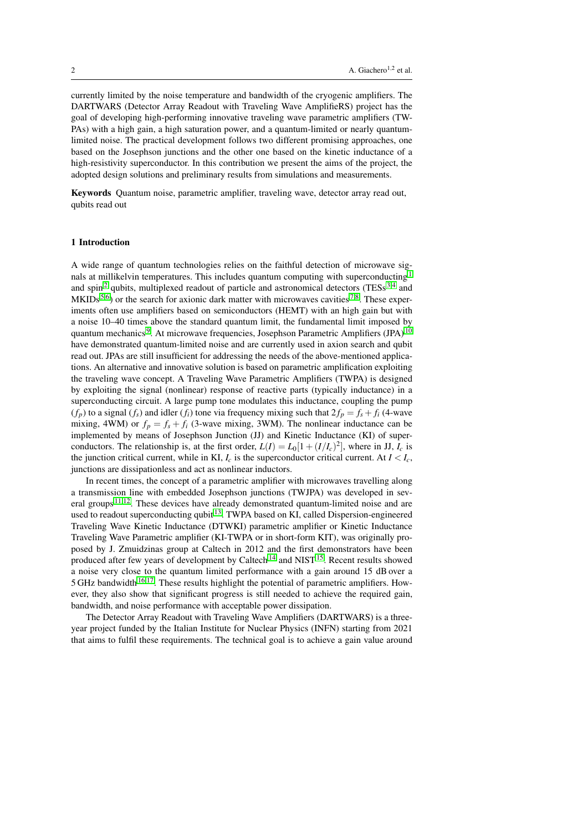currently limited by the noise temperature and bandwidth of the cryogenic amplifiers. The DARTWARS (Detector Array Readout with Traveling Wave AmplifieRS) project has the goal of developing high-performing innovative traveling wave parametric amplifiers (TW-PAs) with a high gain, a high saturation power, and a quantum-limited or nearly quantumlimited noise. The practical development follows two different promising approaches, one based on the Josephson junctions and the other one based on the kinetic inductance of a high-resistivity superconductor. In this contribution we present the aims of the project, the adopted design solutions and preliminary results from simulations and measurements.

Keywords Quantum noise, parametric amplifier, traveling wave, detector array read out, qubits read out

## 1 Introduction

A wide range of quantum technologies relies on the faithful detection of microwave sig-nals at millikelvin temperatures. This includes quantum computing with superconducting<sup>[1](#page-6-0)</sup> and spin<sup>[2](#page-6-1)</sup> qubits, multiplexed readout of particle and astronomical detectors (TESs<sup>[3](#page-6-2)[,4](#page-6-3)</sup> and  $MKIDs<sup>5,6</sup>$  $MKIDs<sup>5,6</sup>$  $MKIDs<sup>5,6</sup>$  $MKIDs<sup>5,6</sup>$ ) or the search for axionic dark matter with microwaves cavities <sup>[7,](#page-6-6)[8](#page-6-7)</sup>. These experiments often use amplifiers based on semiconductors (HEMT) with an high gain but with a noise 10–40 times above the standard quantum limit, the fundamental limit imposed by quantum mechanics<sup>[9](#page-6-8)</sup>. At microwave frequencies, Josephson Parametric Amplifiers (JPA)<sup>[10](#page-6-9)</sup> have demonstrated quantum-limited noise and are currently used in axion search and qubit read out. JPAs are still insufficient for addressing the needs of the above-mentioned applications. An alternative and innovative solution is based on parametric amplification exploiting the traveling wave concept. A Traveling Wave Parametric Amplifiers (TWPA) is designed by exploiting the signal (nonlinear) response of reactive parts (typically inductance) in a superconducting circuit. A large pump tone modulates this inductance, coupling the pump  $(f_p)$  to a signal  $(f_s)$  and idler  $(f_i)$  tone via frequency mixing such that  $2f_p = f_s + f_i$  (4-wave mixing, 4WM) or  $f_p = f_s + f_i$  (3-wave mixing, 3WM). The nonlinear inductance can be implemented by means of Josephson Junction (JJ) and Kinetic Inductance (KI) of superconductors. The relationship is, at the first order,  $L(I) = L_0[1 + (I/I_c)^2]$ , where in JJ,  $I_c$  is the junction critical current, while in KI,  $I_c$  is the superconductor critical current. At  $I < I_c$ , junctions are dissipationless and act as nonlinear inductors.

In recent times, the concept of a parametric amplifier with microwaves travelling along a transmission line with embedded Josephson junctions (TWJPA) was developed in several groups [11,](#page-6-10)[12](#page-6-11). These devices have already demonstrated quantum-limited noise and are used to readout superconducting qubit <sup>[13](#page-6-12)</sup>. TWPA based on KI, called Dispersion-engineered Traveling Wave Kinetic Inductance (DTWKI) parametric amplifier or Kinetic Inductance Traveling Wave Parametric amplifier (KI-TWPA or in short-form KIT), was originally proposed by J. Zmuidzinas group at Caltech in 2012 and the first demonstrators have been produced after few years of development by Caltech<sup>[14](#page-6-13)</sup> and NIST<sup>[15](#page-6-14)</sup>. Recent results showed a noise very close to the quantum limited performance with a gain around 15 dB over a 5 GHz bandwidth<sup>[16](#page-6-15)[,17](#page-6-16)</sup>. These results highlight the potential of parametric amplifiers. However, they also show that significant progress is still needed to achieve the required gain, bandwidth, and noise performance with acceptable power dissipation.

The Detector Array Readout with Traveling Wave Amplifiers (DARTWARS) is a threeyear project funded by the Italian Institute for Nuclear Physics (INFN) starting from 2021 that aims to fulfil these requirements. The technical goal is to achieve a gain value around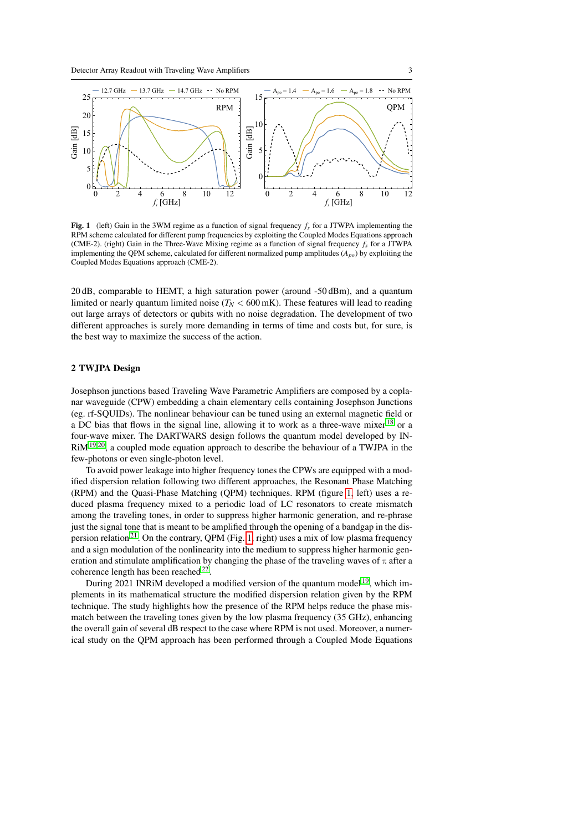

<span id="page-2-0"></span>Fig. 1 (left) Gain in the 3WM regime as a function of signal frequency *f<sup>s</sup>* for a JTWPA implementing the RPM scheme calculated for different pump frequencies by exploiting the Coupled Modes Equations approach (CME-2). (right) Gain in the Three-Wave Mixing regime as a function of signal frequency  $f_s$  for a JTWPA implementing the QPM scheme, calculated for different normalized pump amplitudes (*Apo*) by exploiting the Coupled Modes Equations approach (CME-2).

20 dB, comparable to HEMT, a high saturation power (around -50 dBm), and a quantum limited or nearly quantum limited noise ( $T_N < 600$  mK). These features will lead to reading out large arrays of detectors or qubits with no noise degradation. The development of two different approaches is surely more demanding in terms of time and costs but, for sure, is the best way to maximize the success of the action.

## 2 TWJPA Design

Josephson junctions based Traveling Wave Parametric Amplifiers are composed by a coplanar waveguide (CPW) embedding a chain elementary cells containing Josephson Junctions (eg. rf-SQUIDs). The nonlinear behaviour can be tuned using an external magnetic field or a DC bias that flows in the signal line, allowing it to work as a three-wave mixer [18](#page-6-17) or a four-wave mixer. The DARTWARS design follows the quantum model developed by IN-RiM[19](#page-6-18)[,20](#page-6-19), a coupled mode equation approach to describe the behaviour of a TWJPA in the few-photons or even single-photon level.

To avoid power leakage into higher frequency tones the CPWs are equipped with a modified dispersion relation following two different approaches, the Resonant Phase Matching (RPM) and the Quasi-Phase Matching (QPM) techniques. RPM (figure [1,](#page-2-0) left) uses a reduced plasma frequency mixed to a periodic load of LC resonators to create mismatch among the traveling tones, in order to suppress higher harmonic generation, and re-phrase just the signal tone that is meant to be amplified through the opening of a bandgap in the dis-persion relation<sup>[21](#page-6-20)</sup>. On the contrary, OPM (Fig. [1,](#page-2-0) right) uses a mix of low plasma frequency and a sign modulation of the nonlinearity into the medium to suppress higher harmonic generation and stimulate amplification by changing the phase of the traveling waves of  $\pi$  after a coherence length has been reached  $^{22}$  $^{22}$  $^{22}$ .

During 2021 INRiM developed a modified version of the quantum model <sup>[19](#page-6-18)</sup>, which implements in its mathematical structure the modified dispersion relation given by the RPM technique. The study highlights how the presence of the RPM helps reduce the phase mismatch between the traveling tones given by the low plasma frequency (35 GHz), enhancing the overall gain of several dB respect to the case where RPM is not used. Moreover, a numerical study on the QPM approach has been performed through a Coupled Mode Equations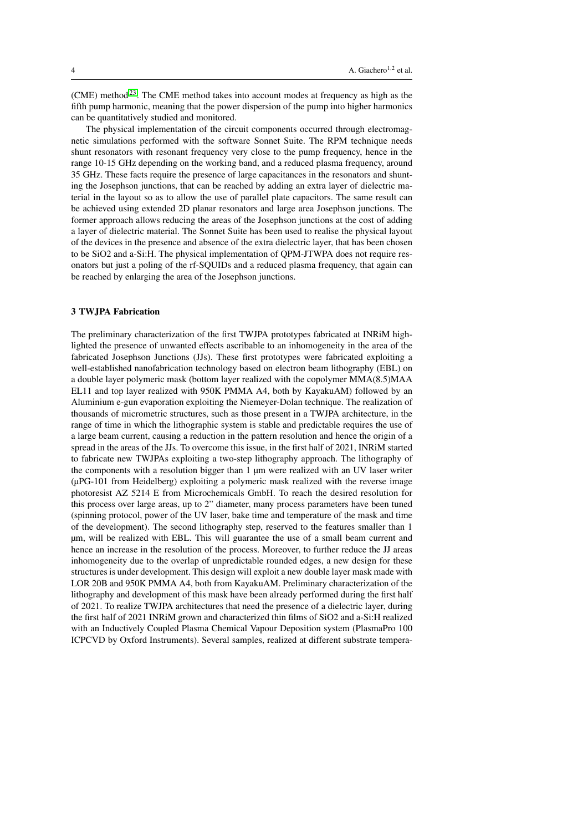(CME) method<sup>[23](#page-6-22)</sup>. The CME method takes into account modes at frequency as high as the fifth pump harmonic, meaning that the power dispersion of the pump into higher harmonics can be quantitatively studied and monitored.

The physical implementation of the circuit components occurred through electromagnetic simulations performed with the software Sonnet Suite. The RPM technique needs shunt resonators with resonant frequency very close to the pump frequency, hence in the range 10-15 GHz depending on the working band, and a reduced plasma frequency, around 35 GHz. These facts require the presence of large capacitances in the resonators and shunting the Josephson junctions, that can be reached by adding an extra layer of dielectric material in the layout so as to allow the use of parallel plate capacitors. The same result can be achieved using extended 2D planar resonators and large area Josephson junctions. The former approach allows reducing the areas of the Josephson junctions at the cost of adding a layer of dielectric material. The Sonnet Suite has been used to realise the physical layout of the devices in the presence and absence of the extra dielectric layer, that has been chosen to be SiO2 and a-Si:H. The physical implementation of QPM-JTWPA does not require resonators but just a poling of the rf-SQUIDs and a reduced plasma frequency, that again can be reached by enlarging the area of the Josephson junctions.

## 3 TWJPA Fabrication

The preliminary characterization of the first TWJPA prototypes fabricated at INRiM highlighted the presence of unwanted effects ascribable to an inhomogeneity in the area of the fabricated Josephson Junctions (JJs). These first prototypes were fabricated exploiting a well-established nanofabrication technology based on electron beam lithography (EBL) on a double layer polymeric mask (bottom layer realized with the copolymer MMA(8.5)MAA EL11 and top layer realized with 950K PMMA A4, both by KayakuAM) followed by an Aluminium e-gun evaporation exploiting the Niemeyer-Dolan technique. The realization of thousands of micrometric structures, such as those present in a TWJPA architecture, in the range of time in which the lithographic system is stable and predictable requires the use of a large beam current, causing a reduction in the pattern resolution and hence the origin of a spread in the areas of the JJs. To overcome this issue, in the first half of 2021, INRiM started to fabricate new TWJPAs exploiting a two-step lithography approach. The lithography of the components with a resolution bigger than 1 µm were realized with an UV laser writer (µPG-101 from Heidelberg) exploiting a polymeric mask realized with the reverse image photoresist AZ 5214 E from Microchemicals GmbH. To reach the desired resolution for this process over large areas, up to 2" diameter, many process parameters have been tuned (spinning protocol, power of the UV laser, bake time and temperature of the mask and time of the development). The second lithography step, reserved to the features smaller than 1 µm, will be realized with EBL. This will guarantee the use of a small beam current and hence an increase in the resolution of the process. Moreover, to further reduce the JJ areas inhomogeneity due to the overlap of unpredictable rounded edges, a new design for these structures is under development. This design will exploit a new double layer mask made with LOR 20B and 950K PMMA A4, both from KayakuAM. Preliminary characterization of the lithography and development of this mask have been already performed during the first half of 2021. To realize TWJPA architectures that need the presence of a dielectric layer, during the first half of 2021 INRiM grown and characterized thin films of SiO2 and a-Si:H realized with an Inductively Coupled Plasma Chemical Vapour Deposition system (PlasmaPro 100 ICPCVD by Oxford Instruments). Several samples, realized at different substrate tempera-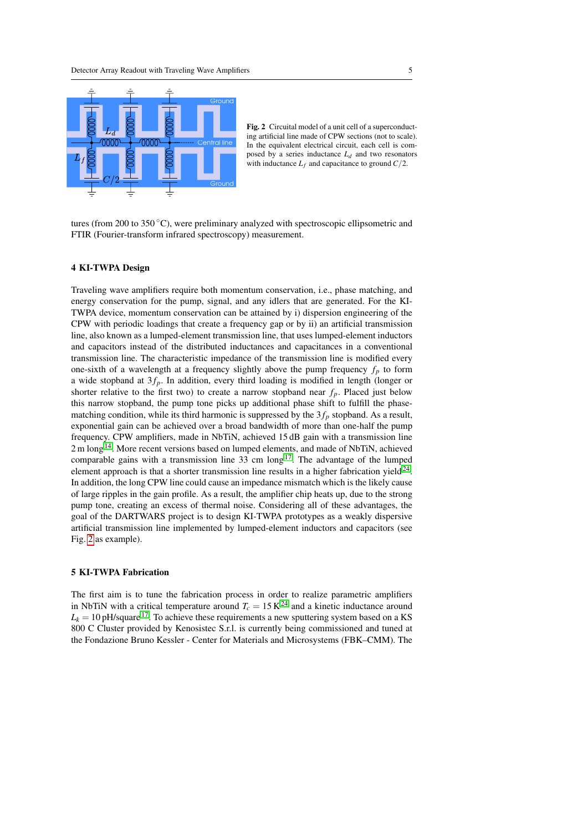

<span id="page-4-0"></span>

tures (from 200 to 350 $\degree$ C), were preliminary analyzed with spectroscopic ellipsometric and FTIR (Fourier-transform infrared spectroscopy) measurement.

#### 4 KI-TWPA Design

Traveling wave amplifiers require both momentum conservation, i.e., phase matching, and energy conservation for the pump, signal, and any idlers that are generated. For the KI-TWPA device, momentum conservation can be attained by i) dispersion engineering of the CPW with periodic loadings that create a frequency gap or by ii) an artificial transmission line, also known as a lumped-element transmission line, that uses lumped-element inductors and capacitors instead of the distributed inductances and capacitances in a conventional transmission line. The characteristic impedance of the transmission line is modified every one-sixth of a wavelength at a frequency slightly above the pump frequency  $f_p$  to form a wide stopband at  $3f_p$ . In addition, every third loading is modified in length (longer or shorter relative to the first two) to create a narrow stopband near  $f_p$ . Placed just below this narrow stopband, the pump tone picks up additional phase shift to fulfill the phasematching condition, while its third harmonic is suppressed by the  $3f_p$  stopband. As a result, exponential gain can be achieved over a broad bandwidth of more than one-half the pump frequency. CPW amplifiers, made in NbTiN, achieved 15 dB gain with a transmission line 2 m long<sup>[14](#page-6-13)</sup>. More recent versions based on lumped elements, and made of NbTiN, achieved comparable gains with a transmission line  $33 \text{ cm}$  long<sup>[17](#page-6-16)</sup>. The advantage of the lumped element approach is that a shorter transmission line results in a higher fabrication yield $24$ . In addition, the long CPW line could cause an impedance mismatch which is the likely cause of large ripples in the gain profile. As a result, the amplifier chip heats up, due to the strong pump tone, creating an excess of thermal noise. Considering all of these advantages, the goal of the DARTWARS project is to design KI-TWPA prototypes as a weakly dispersive artificial transmission line implemented by lumped-element inductors and capacitors (see Fig. [2](#page-4-0) as example).

## 5 KI-TWPA Fabrication

The first aim is to tune the fabrication process in order to realize parametric amplifiers in NbTiN with a critical temperature around  $T_c = 15 \text{ K}^{24}$  $T_c = 15 \text{ K}^{24}$  $T_c = 15 \text{ K}^{24}$  and a kinetic inductance around  $L_k = 10 \text{ pH/square}^{17}$  $L_k = 10 \text{ pH/square}^{17}$  $L_k = 10 \text{ pH/square}^{17}$ . To achieve these requirements a new sputtering system based on a KS 800 C Cluster provided by Kenosistec S.r.l. is currently being commissioned and tuned at the Fondazione Bruno Kessler - Center for Materials and Microsystems (FBK–CMM). The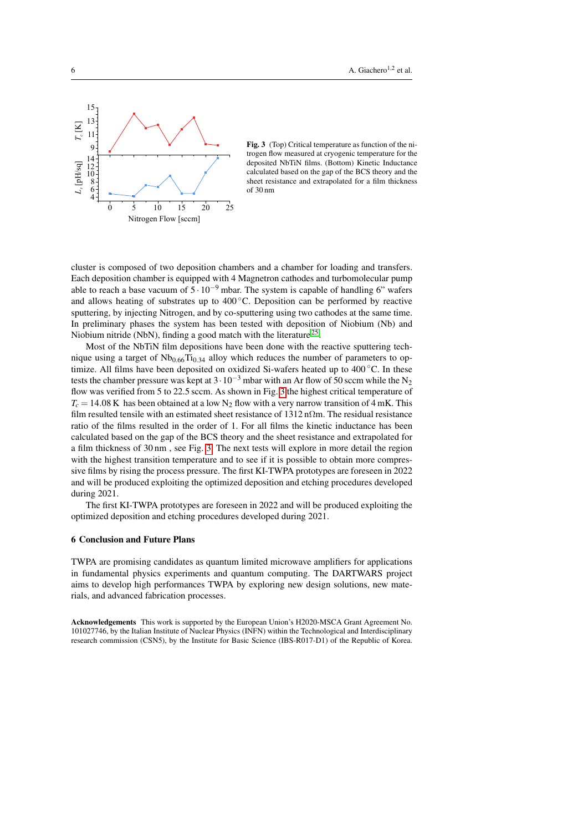

<span id="page-5-0"></span>

cluster is composed of two deposition chambers and a chamber for loading and transfers. Each deposition chamber is equipped with 4 Magnetron cathodes and turbomolecular pump able to reach a base vacuum of  $5 \cdot 10^{-9}$  mbar. The system is capable of handling 6" wafers and allows heating of substrates up to 400 ◦C. Deposition can be performed by reactive sputtering, by injecting Nitrogen, and by co-sputtering using two cathodes at the same time. In preliminary phases the system has been tested with deposition of Niobium (Nb) and Niobium nitride (NbN), finding a good match with the literature<sup>[25](#page-6-24)</sup>.

Most of the NbTiN film depositions have been done with the reactive sputtering technique using a target of  $Nb<sub>0.66</sub>Ti<sub>0.34</sub>$  alloy which reduces the number of parameters to optimize. All films have been deposited on oxidized Si-wafers heated up to 400 ◦C. In these tests the chamber pressure was kept at  $3 \cdot 10^{-3}$  mbar with an Ar flow of 50 sccm while the N<sub>2</sub> flow was verified from 5 to 22.5 sccm. As shown in Fig. [3](#page-5-0) the highest critical temperature of  $T_c = 14.08$  K has been obtained at a low N<sub>2</sub> flow with a very narrow transition of 4 mK. This film resulted tensile with an estimated sheet resistance of  $1312 \text{ n}\Omega \text{m}$ . The residual resistance ratio of the films resulted in the order of 1. For all films the kinetic inductance has been calculated based on the gap of the BCS theory and the sheet resistance and extrapolated for a film thickness of 30 nm , see Fig. [3.](#page-5-0) The next tests will explore in more detail the region with the highest transition temperature and to see if it is possible to obtain more compressive films by rising the process pressure. The first KI-TWPA prototypes are foreseen in 2022 and will be produced exploiting the optimized deposition and etching procedures developed during 2021.

The first KI-TWPA prototypes are foreseen in 2022 and will be produced exploiting the optimized deposition and etching procedures developed during 2021.

# 6 Conclusion and Future Plans

TWPA are promising candidates as quantum limited microwave amplifiers for applications in fundamental physics experiments and quantum computing. The DARTWARS project aims to develop high performances TWPA by exploring new design solutions, new materials, and advanced fabrication processes.

Acknowledgements This work is supported by the European Union's H2020-MSCA Grant Agreement No. 101027746, by the Italian Institute of Nuclear Physics (INFN) within the Technological and Interdisciplinary research commission (CSN5), by the Institute for Basic Science (IBS-R017-D1) of the Republic of Korea.